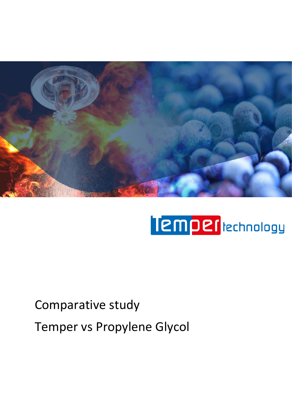

# Temper **technology**

# Comparative study Temper vs Propylene Glycol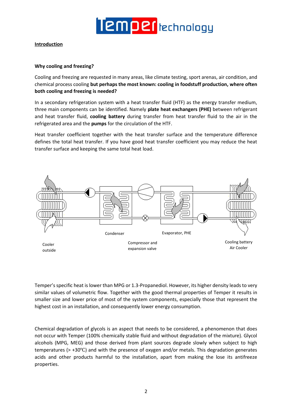

#### **Introduction**

#### **Why cooling and freezing?**

Cooling and freezing are requested in many areas, like climate testing, sport arenas, air condition, and chemical process cooling **but perhaps the most known: cooling in foodstuff production, where often both cooling and freezing is needed?**

In a secondary refrigeration system with a heat transfer fluid (HTF) as the energy transfer medium, three main components can be identified. Namely **plate heat exchangers (PHE)** between refrigerant and heat transfer fluid, **cooling battery** during transfer from heat transfer fluid to the air in the refrigerated area and the **pumps** for the circulation of the HTF.

Heat transfer coefficient together with the heat transfer surface and the temperature difference defines the total heat transfer. If you have good heat transfer coefficient you may reduce the heat transfer surface and keeping the same total heat load.



Temper's specific heat is lower than MPG or 1.3-Propanediol. However, its higher density leads to very similar values of volumetric flow. Together with the good thermal properties of Temper it results in smaller size and lower price of most of the system components, especially those that represent the highest cost in an installation, and consequently lower energy consumption.

Chemical degradation of glycols is an aspect that needs to be considered, a phenomenon that does not occur with Temper (100% chemically stable fluid and without degradation of the mixture). Glycol alcohols (MPG, MEG) and those derived from plant sources degrade slowly when subject to high temperatures (> +30℃) and with the presence of oxygen and/or metals. This degradation generates acids and other products harmful to the installation, apart from making the lose its antifreeze properties.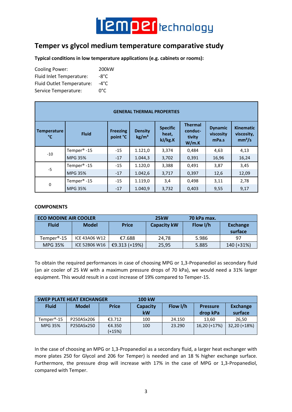

## **Temper vs glycol medium temperature comparative study**

**Typical conditions in low temperature applications (e.g. cabinets or rooms):**

| <b>Cooling Power:</b>     | 200kW |
|---------------------------|-------|
| Fluid Inlet Temperature:  | -8°C  |
| Fluid Outlet Temperature: | -4°C  |
| Service Temperature:      | ∩°∩   |

| <b>GENERAL THERMAL PROPERTIES</b> |                         |                             |                                     |                                     |                                              |                                      |                                                      |  |  |
|-----------------------------------|-------------------------|-----------------------------|-------------------------------------|-------------------------------------|----------------------------------------------|--------------------------------------|------------------------------------------------------|--|--|
| <b>Temperature</b><br>°C          | <b>Fluid</b>            | <b>Freezing</b><br>point °C | <b>Density</b><br>kg/m <sup>3</sup> | <b>Specific</b><br>heat,<br>kJ/kg.K | <b>Thermal</b><br>conduc-<br>tivity<br>W/m.K | <b>Dynamic</b><br>viscosity<br>mPa.s | <b>Kinematic</b><br>viscosity,<br>mm <sup>2</sup> /s |  |  |
| $-10$                             | Temper <sup>®</sup> -15 | $-15$                       | 1.121,0                             | 3,374                               | 0,484                                        | 4,63                                 | 4,13                                                 |  |  |
|                                   | <b>MPG 35%</b>          | $-17$                       | 1.044,3                             | 3,702                               | 0,391                                        | 16,96                                | 16,24                                                |  |  |
| $-5$                              | Temper <sup>®</sup> -15 | $-15$                       | 1.120,0                             | 3,388                               | 0,491                                        | 3,87                                 | 3,45                                                 |  |  |
|                                   | <b>MPG 35%</b>          | $-17$                       | 1.042,6                             | 3,717                               | 0,397                                        | 12,6                                 | 12,09                                                |  |  |
| 0                                 | Temper <sup>®</sup> -15 | $-15$                       | 1.119,0                             | 3,4                                 | 0,498                                        | 3,11                                 | 2,78                                                 |  |  |
|                                   | <b>MPG 35%</b>          | $-17$                       | 1.040,9                             | 3,732                               | 0,403                                        | 9,55                                 | 9,17                                                 |  |  |

#### **COMPONENTS**

| <b>ECO MODINE AIR COOLER</b> |               |               | 25 <sub>k</sub> W  | 70 kPa max. |                            |
|------------------------------|---------------|---------------|--------------------|-------------|----------------------------|
| <b>Fluid</b>                 | <b>Model</b>  | <b>Price</b>  | <b>Capacity kW</b> | Flow I/h    | <b>Exchange</b><br>surface |
| Temper <sup>®</sup> -15      | ICE 43A06 W12 | €7.688        | 24.78              | 5.986       | 97                         |
| MPG 35%                      | ICE 52B06 W16 | €9.313 (+19%) | 25,95              | 5.885       | 140 (+31%)                 |

To obtain the required performances in case of choosing MPG or 1,3-Propanediol as secondary fluid (an air cooler of 25 kW with a maximum pressure drops of 70 kPa), we would need a 31% larger equipment. This would result in a cost increase of 19% compared to Temper-15.

|                | <b>SWEP PLATE HEAT EXCHANGER</b> |              | <b>100 kW</b>   |          |                 |                 |
|----------------|----------------------------------|--------------|-----------------|----------|-----------------|-----------------|
| <b>Fluid</b>   | <b>Model</b>                     | <b>Price</b> | <b>Capacity</b> | Flow I/h | <b>Pressure</b> | <b>Exchange</b> |
|                |                                  |              | <b>kW</b>       |          | drop kPa        | surface         |
| Temper®-15     | P250ASx206                       | €3.712       | 100             | 24.150   | 13.60           | 26,50           |
| <b>MPG 35%</b> | P250ASx250                       | €4.350       | 100             | 23.290   | 16,20 (+17%)    | 32,20 (+18%)    |
|                |                                  | (+15%)       |                 |          |                 |                 |

In the case of choosing an MPG or 1,3-Propanediol as a secondary fluid, a larger heat exchanger with more plates 250 for Glycol and 206 for Temper) is needed and an 18 % higher exchange surface. Furthermore, the pressure drop will increase with 17% in the case of MPG or 1,3-Propanediol, compared with Temper.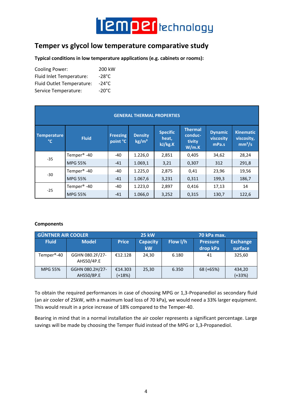

### **Temper vs glycol low temperature comparative study**

**Typical conditions in low temperature applications (e.g. cabinets or rooms):**

| <b>Cooling Power:</b>     | 200 kW          |
|---------------------------|-----------------|
| Fluid Inlet Temperature:  | -28°C           |
| Fluid Outlet Temperature: | $-24\degree$ C  |
| Service Temperature:      | $-20^{\circ}$ C |

| <b>GENERAL THERMAL PROPERTIES</b> |                         |                             |                                   |                                     |                                              |                                      |                                                      |  |  |
|-----------------------------------|-------------------------|-----------------------------|-----------------------------------|-------------------------------------|----------------------------------------------|--------------------------------------|------------------------------------------------------|--|--|
| <b>Temperature</b><br>°C          | <b>Fluid</b>            | <b>Freezing</b><br>point °C | <b>Density</b><br>$\text{kg/m}^3$ | <b>Specific</b><br>heat,<br>kJ/kg.K | <b>Thermal</b><br>conduc-<br>tivity<br>W/m.K | <b>Dynamic</b><br>viscosity<br>mPa.s | <b>Kinematic</b><br>viscosity,<br>mm <sup>2</sup> /s |  |  |
|                                   | Temper <sup>®</sup> -40 | -40                         | 1.226,0                           | 2,851                               | 0,405                                        | 34,62                                | 28,24                                                |  |  |
| $-35$                             | <b>MPG 55%</b>          | $-41$                       | 1.069,1                           | 3,21                                | 0,307                                        | 312                                  | 291,8                                                |  |  |
| $-30$                             | Temper <sup>®</sup> -40 | -40                         | 1.225,0                           | 2,875                               | 0,41                                         | 23,96                                | 19,56                                                |  |  |
|                                   | <b>MPG 55%</b>          | $-41$                       | 1.067,6                           | 3,231                               | 0,311                                        | 199,3                                | 186,7                                                |  |  |
| $-25$                             | Temper <sup>®</sup> -40 | $-40$                       | 1.223,0                           | 2,897                               | 0,416                                        | 17,13                                | 14                                                   |  |  |
|                                   | <b>MPG 55%</b>          | $-41$                       | 1.066,0                           | 3,252                               | 0,315                                        | 130,7                                | 122,6                                                |  |  |

#### **Components**

| <b>GÜNTNER AIR COOLER</b> |                               | <b>25 kW</b>      |                              | 70 kPa max. |                             |                            |
|---------------------------|-------------------------------|-------------------|------------------------------|-------------|-----------------------------|----------------------------|
| <b>Fluid</b>              | <b>Model</b>                  | <b>Price</b>      | <b>Capacity</b><br><b>kW</b> | Flow I/h    | <b>Pressure</b><br>drop kPa | <b>Exchange</b><br>surface |
| Temper <sup>®</sup> -40   | GGHN 080.2F/27-<br>AHS50/4P.E | €12.128           | 24,30                        | 6.180       | 41                          | 325,60                     |
| <b>MPG 55%</b>            | GGHN 080.2H/27-<br>AHS50/8P.E | €14.303<br>(+18%) | 25,30                        | 6.350       | 68 (+65%)                   | 434,20<br>$(+33%)$         |

To obtain the required performances in case of choosing MPG or 1,3-Propanediol as secondary fluid (an air cooler of 25kW, with a maximum load loss of 70 kPa), we would need a 33% larger equipment. This would result in a price increase of 18% compared to the Temper-40.

Bearing in mind that in a normal installation the air cooler represents a significant percentage. Large savings will be made by choosing the Temper fluid instead of the MPG or 1,3-Propanediol.